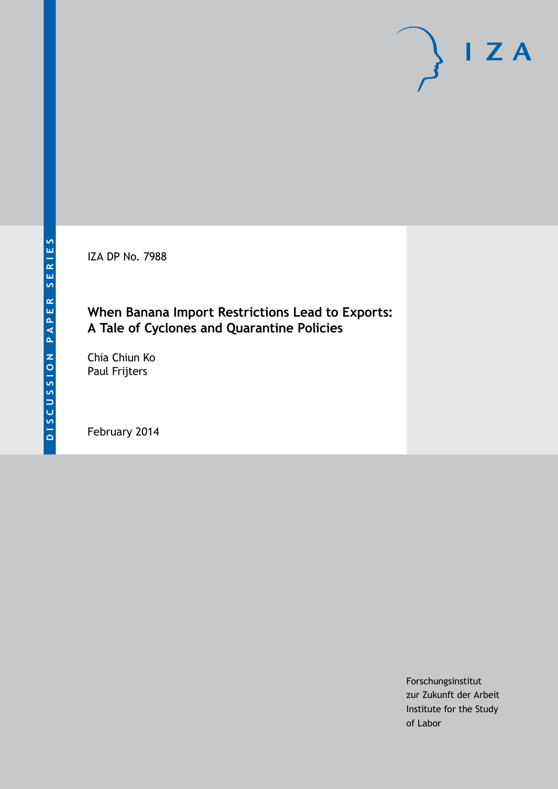IZA DP No. 7988

# **When Banana Import Restrictions Lead to Exports: A Tale of Cyclones and Quarantine Policies**

Chia Chiun Ko Paul Frijters

February 2014

Forschungsinstitut zur Zukunft der Arbeit Institute for the Study of Labor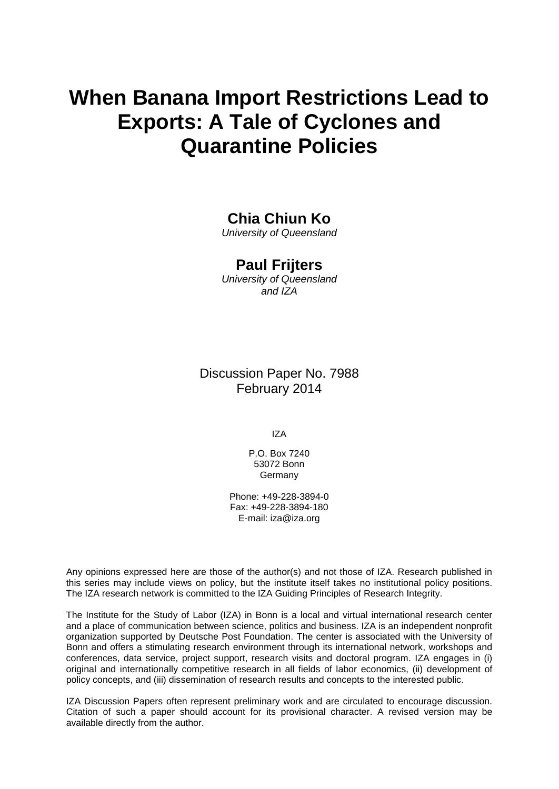# **When Banana Import Restrictions Lead to Exports: A Tale of Cyclones and Quarantine Policies**

# **Chia Chiun Ko**

*University of Queensland*

## **Paul Frijters**

*University of Queensland and IZA*

Discussion Paper No. 7988 February 2014

IZA

P.O. Box 7240 53072 Bonn **Germany** 

Phone: +49-228-3894-0 Fax: +49-228-3894-180 E-mail: [iza@iza.org](mailto:iza@iza.org)

Any opinions expressed here are those of the author(s) and not those of IZA. Research published in this series may include views on policy, but the institute itself takes no institutional policy positions. The IZA research network is committed to the IZA Guiding Principles of Research Integrity.

The Institute for the Study of Labor (IZA) in Bonn is a local and virtual international research center and a place of communication between science, politics and business. IZA is an independent nonprofit organization supported by Deutsche Post Foundation. The center is associated with the University of Bonn and offers a stimulating research environment through its international network, workshops and conferences, data service, project support, research visits and doctoral program. IZA engages in (i) original and internationally competitive research in all fields of labor economics, (ii) development of policy concepts, and (iii) dissemination of research results and concepts to the interested public.

<span id="page-1-0"></span>IZA Discussion Papers often represent preliminary work and are circulated to encourage discussion. Citation of such a paper should account for its provisional character. A revised version may be available directly from the author.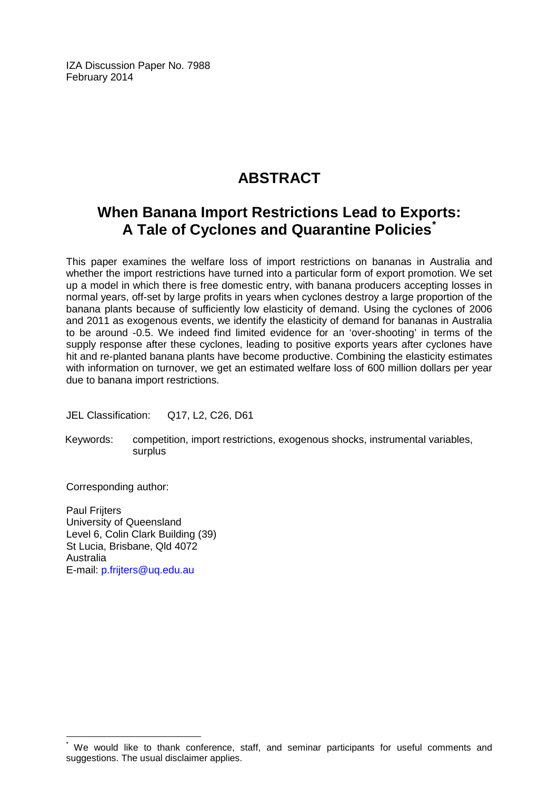IZA Discussion Paper No. 7988 February 2014

# **ABSTRACT**

# **When Banana Import Restrictions Lead to Exports: A Tale of Cyclones and Quarantine Policies[\\*](#page-1-0)**

This paper examines the welfare loss of import restrictions on bananas in Australia and whether the import restrictions have turned into a particular form of export promotion. We set up a model in which there is free domestic entry, with banana producers accepting losses in normal years, off-set by large profits in years when cyclones destroy a large proportion of the banana plants because of sufficiently low elasticity of demand. Using the cyclones of 2006 and 2011 as exogenous events, we identify the elasticity of demand for bananas in Australia to be around -0.5. We indeed find limited evidence for an 'over-shooting' in terms of the supply response after these cyclones, leading to positive exports years after cyclones have hit and re-planted banana plants have become productive. Combining the elasticity estimates with information on turnover, we get an estimated welfare loss of 600 million dollars per year due to banana import restrictions.

JEL Classification: Q17, L2, C26, D61

Keywords: competition, import restrictions, exogenous shocks, instrumental variables, surplus

Corresponding author:

Paul Frijters University of Queensland Level 6, Colin Clark Building (39) St Lucia, Brisbane, Qld 4072 Australia E-mail: [p.frijters@uq.edu.au](mailto:p.frijters@uq.edu.au)

We would like to thank conference, staff, and seminar participants for useful comments and suggestions. The usual disclaimer applies.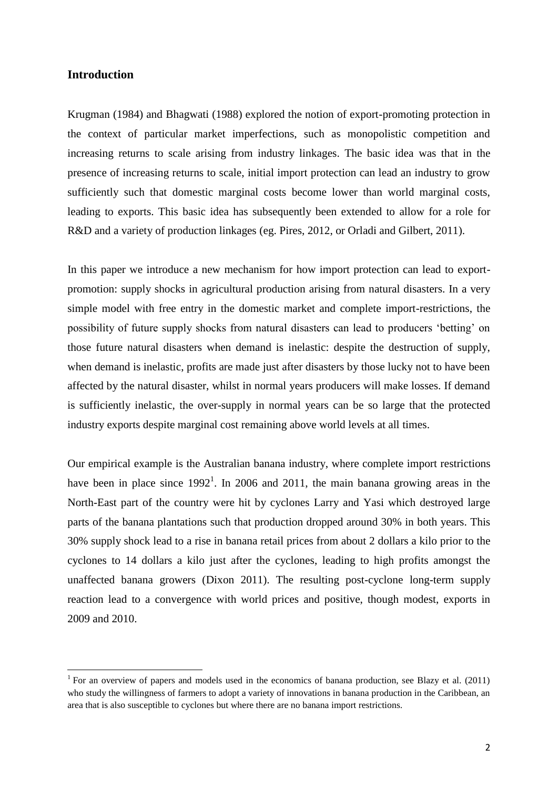#### **Introduction**

**.** 

Krugman (1984) and Bhagwati (1988) explored the notion of export-promoting protection in the context of particular market imperfections, such as monopolistic competition and increasing returns to scale arising from industry linkages. The basic idea was that in the presence of increasing returns to scale, initial import protection can lead an industry to grow sufficiently such that domestic marginal costs become lower than world marginal costs, leading to exports. This basic idea has subsequently been extended to allow for a role for R&D and a variety of production linkages (eg. Pires, 2012, or Orladi and Gilbert, 2011).

In this paper we introduce a new mechanism for how import protection can lead to exportpromotion: supply shocks in agricultural production arising from natural disasters. In a very simple model with free entry in the domestic market and complete import-restrictions, the possibility of future supply shocks from natural disasters can lead to producers 'betting' on those future natural disasters when demand is inelastic: despite the destruction of supply, when demand is inelastic, profits are made just after disasters by those lucky not to have been affected by the natural disaster, whilst in normal years producers will make losses. If demand is sufficiently inelastic, the over-supply in normal years can be so large that the protected industry exports despite marginal cost remaining above world levels at all times.

Our empirical example is the Australian banana industry, where complete import restrictions have been in place since  $1992<sup>1</sup>$ . In 2006 and 2011, the main banana growing areas in the North-East part of the country were hit by cyclones Larry and Yasi which destroyed large parts of the banana plantations such that production dropped around 30% in both years. This 30% supply shock lead to a rise in banana retail prices from about 2 dollars a kilo prior to the cyclones to 14 dollars a kilo just after the cyclones, leading to high profits amongst the unaffected banana growers (Dixon 2011). The resulting post-cyclone long-term supply reaction lead to a convergence with world prices and positive, though modest, exports in 2009 and 2010.

<sup>&</sup>lt;sup>1</sup> For an overview of papers and models used in the economics of banana production, see Blazy et al.  $(2011)$ who study the willingness of farmers to adopt a variety of innovations in banana production in the Caribbean, an area that is also susceptible to cyclones but where there are no banana import restrictions.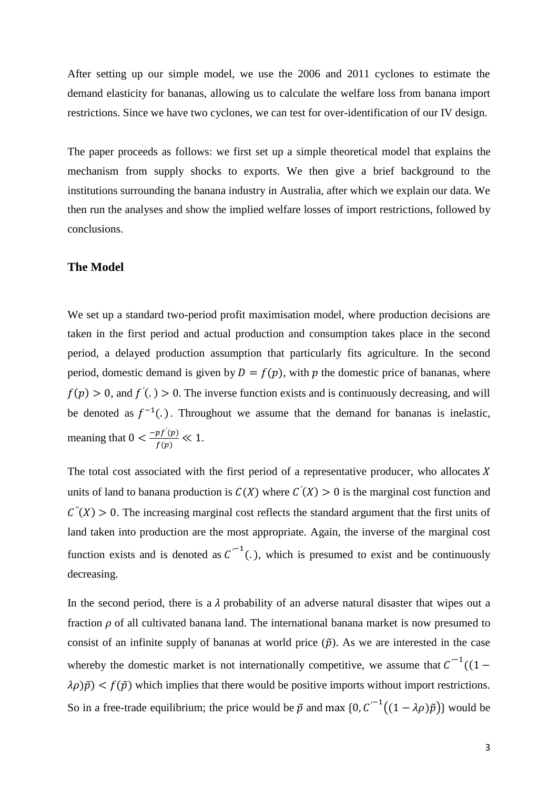After setting up our simple model, we use the 2006 and 2011 cyclones to estimate the demand elasticity for bananas, allowing us to calculate the welfare loss from banana import restrictions. Since we have two cyclones, we can test for over-identification of our IV design.

The paper proceeds as follows: we first set up a simple theoretical model that explains the mechanism from supply shocks to exports. We then give a brief background to the institutions surrounding the banana industry in Australia, after which we explain our data. We then run the analyses and show the implied welfare losses of import restrictions, followed by conclusions.

#### **The Model**

We set up a standard two-period profit maximisation model, where production decisions are taken in the first period and actual production and consumption takes place in the second period, a delayed production assumption that particularly fits agriculture. In the second period, domestic demand is given by  $D = f(p)$ , with p the domestic price of bananas, where  $f(p) > 0$ , and  $f'(.) > 0$ . The inverse function exists and is continuously decreasing, and will be denoted as  $f^{-1}(.)$ . Throughout we assume that the demand for bananas is inelastic, meaning that  $0 < \frac{-pf'(s)}{f(s)}$  $\frac{p_j(\mathbf{p})}{f(\mathbf{p})} \ll 1.$ 

The total cost associated with the first period of a representative producer, who allocates  $X$ units of land to banana production is  $C(X)$  where  $C'(X) > 0$  is the marginal cost function and  $C''(X) > 0$ . The increasing marginal cost reflects the standard argument that the first units of land taken into production are the most appropriate. Again, the inverse of the marginal cost function exists and is denoted as  $C^{-1}(.)$ , which is presumed to exist and be continuously decreasing.

In the second period, there is a  $\lambda$  probability of an adverse natural disaster that wipes out a fraction  $\rho$  of all cultivated banana land. The international banana market is now presumed to consist of an infinite supply of bananas at world price  $(\tilde{p})$ . As we are interested in the case whereby the domestic market is not internationally competitive, we assume that  $C^{-1}$  $\lambda \rho(\tilde{p}) < f(\tilde{p})$  which implies that there would be positive imports without import restrictions. So in a free-trade equilibrium; the price would be  $\tilde{p}$  and max  $\{0, C^{-1}((1 - \lambda \rho)\tilde{p})\}$  would be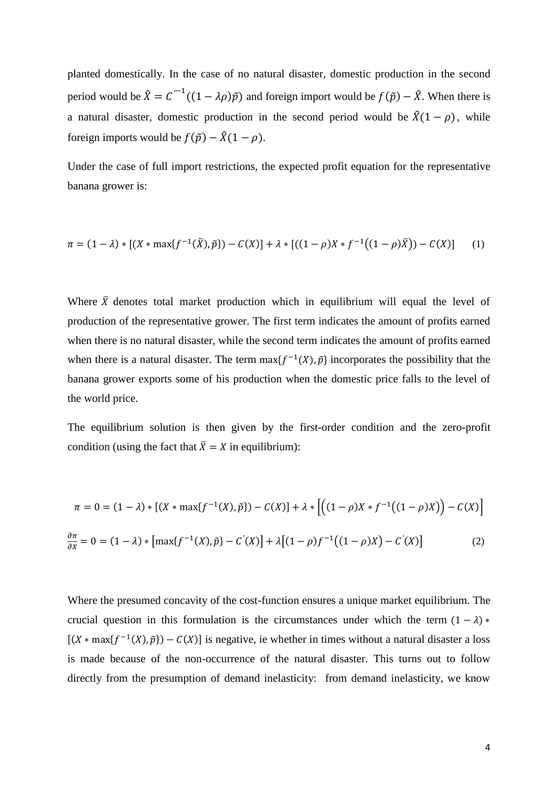planted domestically. In the case of no natural disaster, domestic production in the second period would be  $\hat{X} = C^{-1}((1 - \lambda \rho)\tilde{p})$  and foreign import would be  $f(\tilde{p}) - \hat{X}$ . When there is a natural disaster, domestic production in the second period would be  $\hat{X}(1-\rho)$ , while foreign imports would be  $f(\tilde{p}) - \hat{X}(1 - \rho)$ .

Under the case of full import restrictions, the expected profit equation for the representative banana grower is:

$$
\pi = (1 - \lambda) * [(X * \max\{f^{-1}(\bar{X}), \tilde{p}\}) - C(X)] + \lambda * [((1 - \rho)X * f^{-1}((1 - \rho)\bar{X})) - C(X)] \tag{1}
$$

Where  $\bar{X}$  denotes total market production which in equilibrium will equal the level of production of the representative grower. The first term indicates the amount of profits earned when there is no natural disaster, while the second term indicates the amount of profits earned when there is a natural disaster. The term  $max{f^{-1}(X), \tilde{p}}$  incorporates the possibility that the banana grower exports some of his production when the domestic price falls to the level of the world price.

The equilibrium solution is then given by the first-order condition and the zero-profit condition (using the fact that  $\bar{X} = X$  in equilibrium):

$$
\pi = 0 = (1 - \lambda) * [(X * \max\{f^{-1}(X), \tilde{p}\}) - C(X)] + \lambda * [((1 - \rho)X * f^{-1}((1 - \rho)X)) - C(X)]
$$
  

$$
\frac{\partial \pi}{\partial X} = 0 = (1 - \lambda) * [\max\{f^{-1}(X), \tilde{p}\} - C'(X)] + \lambda [(1 - \rho)f^{-1}((1 - \rho)X) - C'(X)]
$$
 (2)

Where the presumed concavity of the cost-function ensures a unique market equilibrium. The crucial question in this formulation is the circumstances under which the term  $(1 - \lambda)$  \*  $[(X * max{f<sup>-1</sup>(X), \tilde{p}}) - C(X)]$  is negative, ie whether in times without a natural disaster a loss is made because of the non-occurrence of the natural disaster. This turns out to follow directly from the presumption of demand inelasticity: from demand inelasticity, we know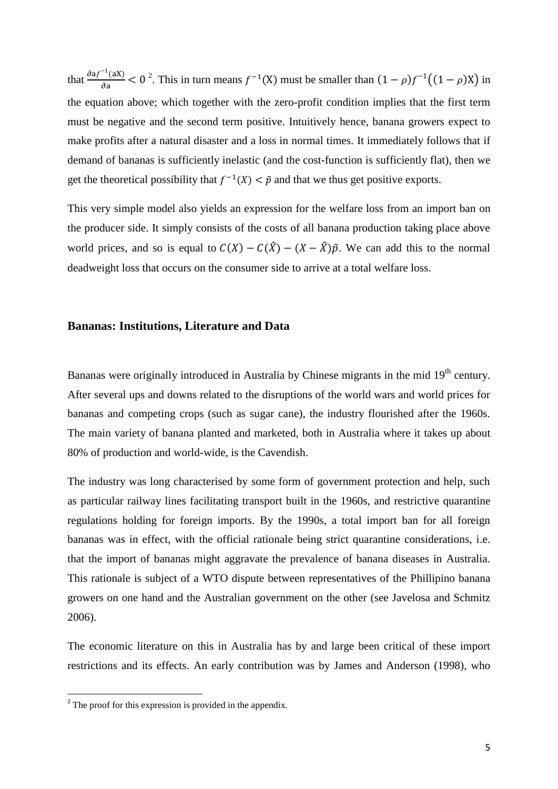that  $\frac{\partial af^{-1}( }{ }$  $\frac{f(ax)}{da} < 0^2$ . This in turn means  $f^{-1}(X)$  must be smaller than  $(1 - \rho)f^{-1}((1 - \rho)X)$  in the equation above; which together with the zero-profit condition implies that the first term must be negative and the second term positive. Intuitively hence, banana growers expect to make profits after a natural disaster and a loss in normal times. It immediately follows that if demand of bananas is sufficiently inelastic (and the cost-function is sufficiently flat), then we get the theoretical possibility that  $f^{-1}(X) < \tilde{p}$  and that we thus get positive exports.

This very simple model also yields an expression for the welfare loss from an import ban on the producer side. It simply consists of the costs of all banana production taking place above world prices, and so is equal to  $C(X) - C(\hat{X}) - (X - \hat{X})\hat{p}$ . We can add this to the normal deadweight loss that occurs on the consumer side to arrive at a total welfare loss.

#### **Bananas: Institutions, Literature and Data**

Bananas were originally introduced in Australia by Chinese migrants in the mid 19<sup>th</sup> century. After several ups and downs related to the disruptions of the world wars and world prices for bananas and competing crops (such as sugar cane), the industry flourished after the 1960s. The main variety of banana planted and marketed, both in Australia where it takes up about 80% of production and world-wide, is the Cavendish.

The industry was long characterised by some form of government protection and help, such as particular railway lines facilitating transport built in the 1960s, and restrictive quarantine regulations holding for foreign imports. By the 1990s, a total import ban for all foreign bananas was in effect, with the official rationale being strict quarantine considerations, i.e. that the import of bananas might aggravate the prevalence of banana diseases in Australia. This rationale is subject of a WTO dispute between representatives of the Phillipino banana growers on one hand and the Australian government on the other (see Javelosa and Schmitz 2006).

The economic literature on this in Australia has by and large been critical of these import restrictions and its effects. An early contribution was by James and Anderson (1998), who

<sup>&</sup>lt;sup>2</sup> The proof for this expression is provided in the appendix.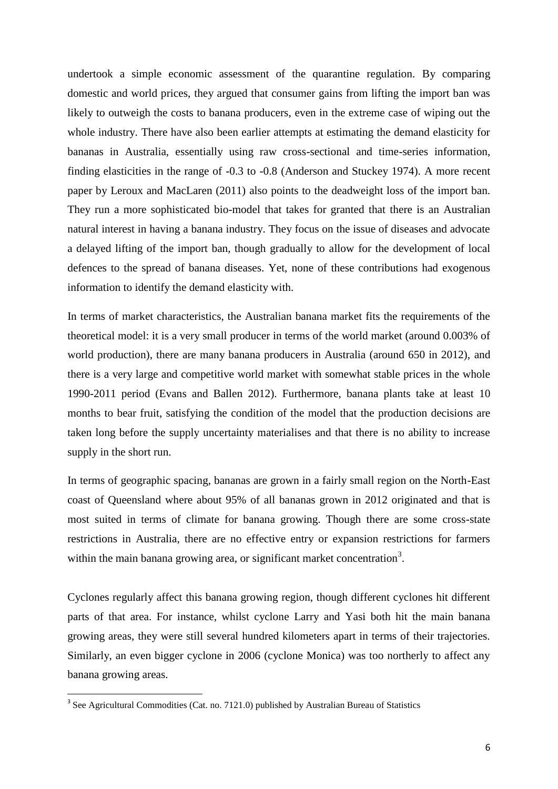undertook a simple economic assessment of the quarantine regulation. By comparing domestic and world prices, they argued that consumer gains from lifting the import ban was likely to outweigh the costs to banana producers, even in the extreme case of wiping out the whole industry. There have also been earlier attempts at estimating the demand elasticity for bananas in Australia, essentially using raw cross-sectional and time-series information, finding elasticities in the range of -0.3 to -0.8 (Anderson and Stuckey 1974). A more recent paper by Leroux and MacLaren (2011) also points to the deadweight loss of the import ban. They run a more sophisticated bio-model that takes for granted that there is an Australian natural interest in having a banana industry. They focus on the issue of diseases and advocate a delayed lifting of the import ban, though gradually to allow for the development of local defences to the spread of banana diseases. Yet, none of these contributions had exogenous information to identify the demand elasticity with.

In terms of market characteristics, the Australian banana market fits the requirements of the theoretical model: it is a very small producer in terms of the world market (around 0.003% of world production), there are many banana producers in Australia (around 650 in 2012), and there is a very large and competitive world market with somewhat stable prices in the whole 1990-2011 period (Evans and Ballen 2012). Furthermore, banana plants take at least 10 months to bear fruit, satisfying the condition of the model that the production decisions are taken long before the supply uncertainty materialises and that there is no ability to increase supply in the short run.

In terms of geographic spacing, bananas are grown in a fairly small region on the North-East coast of Queensland where about 95% of all bananas grown in 2012 originated and that is most suited in terms of climate for banana growing. Though there are some cross-state restrictions in Australia, there are no effective entry or expansion restrictions for farmers within the main banana growing area, or significant market concentration<sup>3</sup>.

Cyclones regularly affect this banana growing region, though different cyclones hit different parts of that area. For instance, whilst cyclone Larry and Yasi both hit the main banana growing areas, they were still several hundred kilometers apart in terms of their trajectories. Similarly, an even bigger cyclone in 2006 (cyclone Monica) was too northerly to affect any banana growing areas.

<sup>&</sup>lt;sup>3</sup> See Agricultural Commodities (Cat. no. 7121.0) published by Australian Bureau of Statistics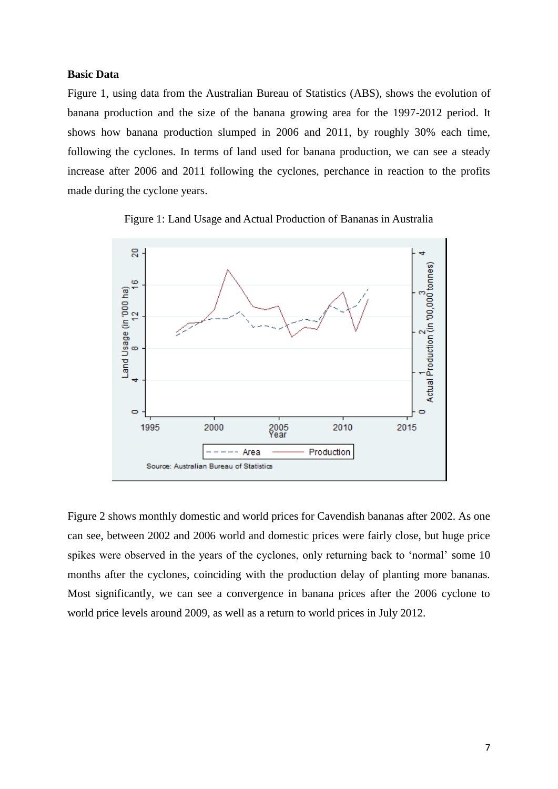#### **Basic Data**

Figure 1, using data from the Australian Bureau of Statistics (ABS), shows the evolution of banana production and the size of the banana growing area for the 1997-2012 period. It shows how banana production slumped in 2006 and 2011, by roughly 30% each time, following the cyclones. In terms of land used for banana production, we can see a steady increase after 2006 and 2011 following the cyclones, perchance in reaction to the profits made during the cyclone years.





Figure 2 shows monthly domestic and world prices for Cavendish bananas after 2002. As one can see, between 2002 and 2006 world and domestic prices were fairly close, but huge price spikes were observed in the years of the cyclones, only returning back to 'normal' some 10 months after the cyclones, coinciding with the production delay of planting more bananas. Most significantly, we can see a convergence in banana prices after the 2006 cyclone to world price levels around 2009, as well as a return to world prices in July 2012.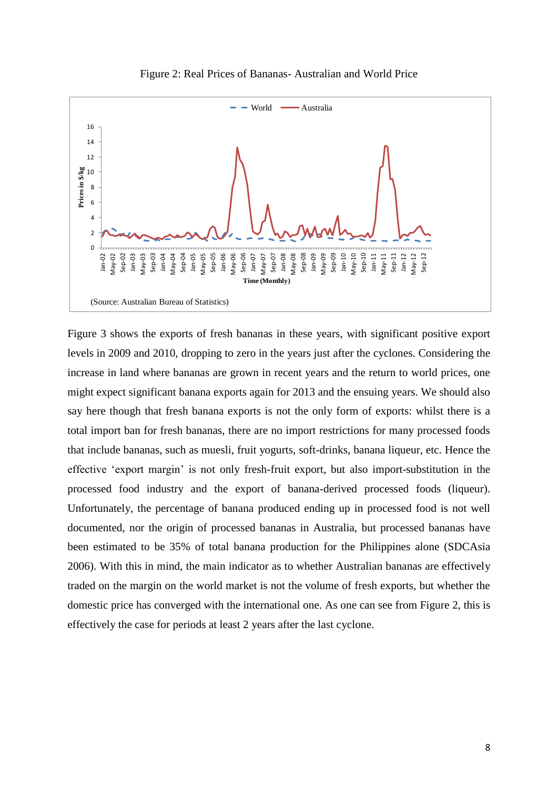

Figure 2: Real Prices of Bananas- Australian and World Price

Figure 3 shows the exports of fresh bananas in these years, with significant positive export levels in 2009 and 2010, dropping to zero in the years just after the cyclones. Considering the increase in land where bananas are grown in recent years and the return to world prices, one might expect significant banana exports again for 2013 and the ensuing years. We should also say here though that fresh banana exports is not the only form of exports: whilst there is a total import ban for fresh bananas, there are no import restrictions for many processed foods that include bananas, such as muesli, fruit yogurts, soft-drinks, banana liqueur, etc. Hence the effective 'export margin' is not only fresh-fruit export, but also import-substitution in the processed food industry and the export of banana-derived processed foods (liqueur). Unfortunately, the percentage of banana produced ending up in processed food is not well documented, nor the origin of processed bananas in Australia, but processed bananas have been estimated to be 35% of total banana production for the Philippines alone (SDCAsia 2006). With this in mind, the main indicator as to whether Australian bananas are effectively traded on the margin on the world market is not the volume of fresh exports, but whether the domestic price has converged with the international one. As one can see from Figure 2, this is effectively the case for periods at least 2 years after the last cyclone.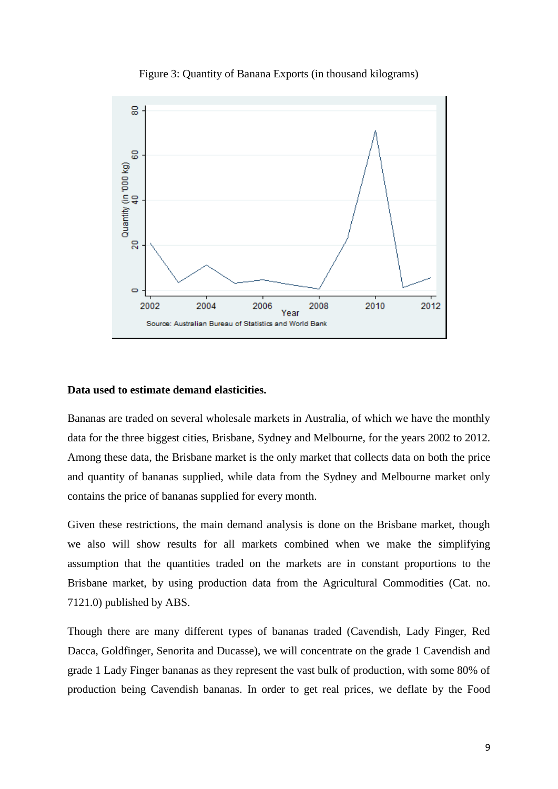

Figure 3: Quantity of Banana Exports (in thousand kilograms)

#### **Data used to estimate demand elasticities.**

Bananas are traded on several wholesale markets in Australia, of which we have the monthly data for the three biggest cities, Brisbane, Sydney and Melbourne, for the years 2002 to 2012. Among these data, the Brisbane market is the only market that collects data on both the price and quantity of bananas supplied, while data from the Sydney and Melbourne market only contains the price of bananas supplied for every month.

Given these restrictions, the main demand analysis is done on the Brisbane market, though we also will show results for all markets combined when we make the simplifying assumption that the quantities traded on the markets are in constant proportions to the Brisbane market, by using production data from the Agricultural Commodities (Cat. no. 7121.0) published by ABS.

Though there are many different types of bananas traded (Cavendish, Lady Finger, Red Dacca, Goldfinger, Senorita and Ducasse), we will concentrate on the grade 1 Cavendish and grade 1 Lady Finger bananas as they represent the vast bulk of production, with some 80% of production being Cavendish bananas. In order to get real prices, we deflate by the Food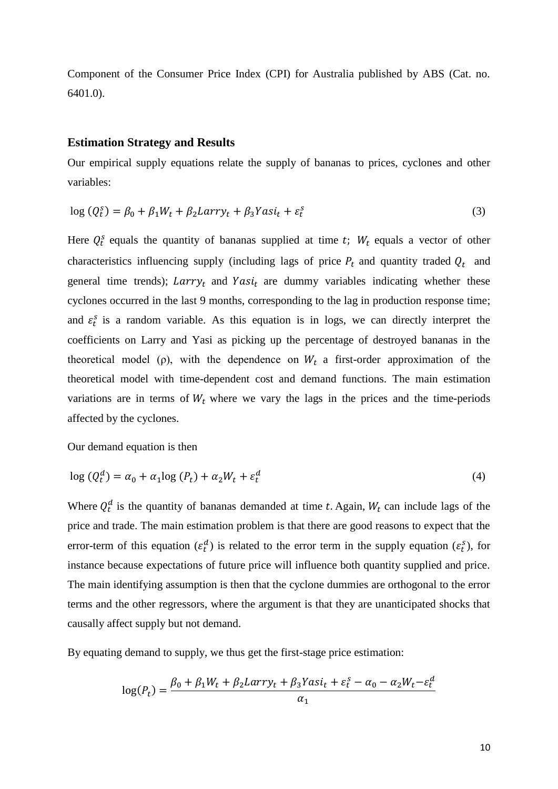Component of the Consumer Price Index (CPI) for Australia published by ABS (Cat. no. 6401.0).

#### **Estimation Strategy and Results**

Our empirical supply equations relate the supply of bananas to prices, cyclones and other variables:

$$
\log (Q_t^s) = \beta_0 + \beta_1 W_t + \beta_2 Larry_t + \beta_3 Yasi_t + \varepsilon_t^s
$$
\n(3)

Here  $Q_t^s$  equals the quantity of bananas supplied at time t;  $W_t$  equals a vector of other characteristics influencing supply (including lags of price  $P_t$  and quantity traded  $Q_t$  and general time trends);  $Larry_t$  and  $Yasi_t$  are dummy variables indicating whether these cyclones occurred in the last 9 months, corresponding to the lag in production response time; and  $\varepsilon_t^s$  is a random variable. As this equation is in logs, we can directly interpret the coefficients on Larry and Yasi as picking up the percentage of destroyed bananas in the theoretical model (ρ), with the dependence on  $W_t$  a first-order approximation of the theoretical model with time-dependent cost and demand functions. The main estimation variations are in terms of  $W_t$  where we vary the lags in the prices and the time-periods affected by the cyclones.

Our demand equation is then

$$
\log \left( Q_t^d \right) = \alpha_0 + \alpha_1 \log \left( P_t \right) + \alpha_2 W_t + \varepsilon_t^d \tag{4}
$$

Where  $Q_t^d$  is the quantity of bananas demanded at time t. Again,  $W_t$  can include lags of the price and trade. The main estimation problem is that there are good reasons to expect that the error-term of this equation  $(\varepsilon_t^d)$  is related to the error term in the supply equation  $(\varepsilon_t^s)$ , for instance because expectations of future price will influence both quantity supplied and price. The main identifying assumption is then that the cyclone dummies are orthogonal to the error terms and the other regressors, where the argument is that they are unanticipated shocks that causally affect supply but not demand.

By equating demand to supply, we thus get the first-stage price estimation:

$$
\log(P_t) = \frac{\beta_0 + \beta_1 W_t + \beta_2 Larry_t + \beta_3 Yasi_t + \varepsilon_t^s - \alpha_0 - \alpha_2 W_t - \varepsilon_t^d}{\alpha_1}
$$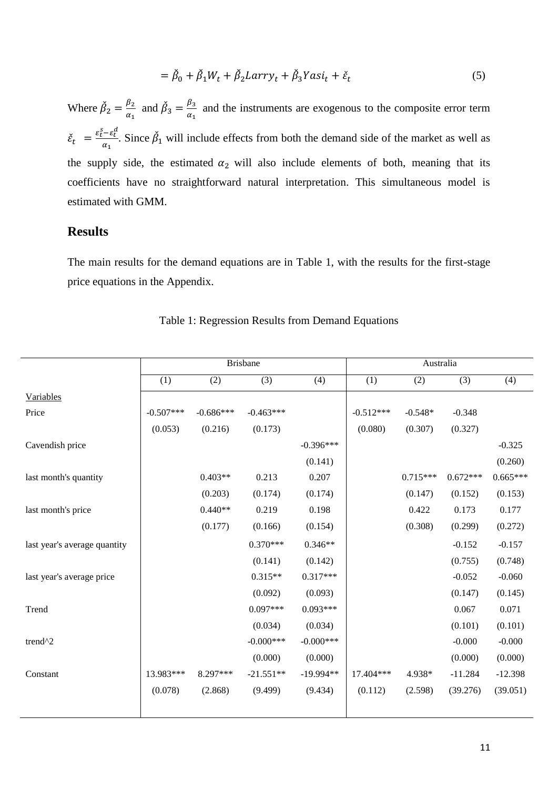$$
= \check{\beta}_0 + \check{\beta}_1 W_t + \check{\beta}_2 Larry_t + \check{\beta}_3 Yasi_t + \check{\varepsilon}_t \tag{5}
$$

Where  $\beta_2$ β  $\frac{\rho_2}{\alpha_1}$  and  $\beta_3$ β  $\frac{\mu_3}{\alpha_1}$  and the instruments are exogenous to the composite error term  $\check{\varepsilon}_t = \frac{\varepsilon_t^s - \varepsilon_t^d}{\varepsilon_t^s}$  $\frac{e^{-\epsilon}t}{\alpha_1}$ . Since  $\beta_1$  will include effects from both the demand side of the market as well as the supply side, the estimated  $\alpha_2$  will also include elements of both, meaning that its coefficients have no straightforward natural interpretation. This simultaneous model is estimated with GMM.

# **Results**

The main results for the demand equations are in Table 1, with the results for the first-stage price equations in the Appendix.

|                              |             |             | <b>Brisbane</b> |             |             |            | Australia  |            |  |  |  |  |
|------------------------------|-------------|-------------|-----------------|-------------|-------------|------------|------------|------------|--|--|--|--|
|                              | (1)         | (2)         | (3)             | (4)         | (1)         | (2)        | (3)        | (4)        |  |  |  |  |
| Variables                    |             |             |                 |             |             |            |            |            |  |  |  |  |
| Price                        | $-0.507***$ | $-0.686***$ | $-0.463***$     |             | $-0.512***$ | $-0.548*$  | $-0.348$   |            |  |  |  |  |
|                              | (0.053)     | (0.216)     | (0.173)         |             | (0.080)     | (0.307)    | (0.327)    |            |  |  |  |  |
| Cavendish price              |             |             |                 | $-0.396***$ |             |            |            | $-0.325$   |  |  |  |  |
|                              |             |             |                 | (0.141)     |             |            |            | (0.260)    |  |  |  |  |
| last month's quantity        |             | $0.403**$   | 0.213           | 0.207       |             | $0.715***$ | $0.672***$ | $0.665***$ |  |  |  |  |
|                              |             | (0.203)     | (0.174)         | (0.174)     |             | (0.147)    | (0.152)    | (0.153)    |  |  |  |  |
| last month's price           |             | $0.440**$   | 0.219           | 0.198       |             | 0.422      | 0.173      | 0.177      |  |  |  |  |
|                              |             | (0.177)     | (0.166)         | (0.154)     |             | (0.308)    | (0.299)    | (0.272)    |  |  |  |  |
| last year's average quantity |             |             | $0.370***$      | $0.346**$   |             |            | $-0.152$   | $-0.157$   |  |  |  |  |
|                              |             |             | (0.141)         | (0.142)     |             |            | (0.755)    | (0.748)    |  |  |  |  |
| last year's average price    |             |             | $0.315**$       | $0.317***$  |             |            | $-0.052$   | $-0.060$   |  |  |  |  |
|                              |             |             | (0.092)         | (0.093)     |             |            | (0.147)    | (0.145)    |  |  |  |  |
| Trend                        |             |             | $0.097***$      | $0.093***$  |             |            | 0.067      | 0.071      |  |  |  |  |
|                              |             |             | (0.034)         | (0.034)     |             |            | (0.101)    | (0.101)    |  |  |  |  |
| trend <sup>^2</sup>          |             |             | $-0.000***$     | $-0.000***$ |             |            | $-0.000$   | $-0.000$   |  |  |  |  |
|                              |             |             | (0.000)         | (0.000)     |             |            | (0.000)    | (0.000)    |  |  |  |  |
| Constant                     | 13.983***   | 8.297***    | $-21.551**$     | $-19.994**$ | 17.404***   | 4.938*     | $-11.284$  | $-12.398$  |  |  |  |  |
|                              | (0.078)     | (2.868)     | (9.499)         | (9.434)     | (0.112)     | (2.598)    | (39.276)   | (39.051)   |  |  |  |  |
|                              |             |             |                 |             |             |            |            |            |  |  |  |  |

#### Table 1: Regression Results from Demand Equations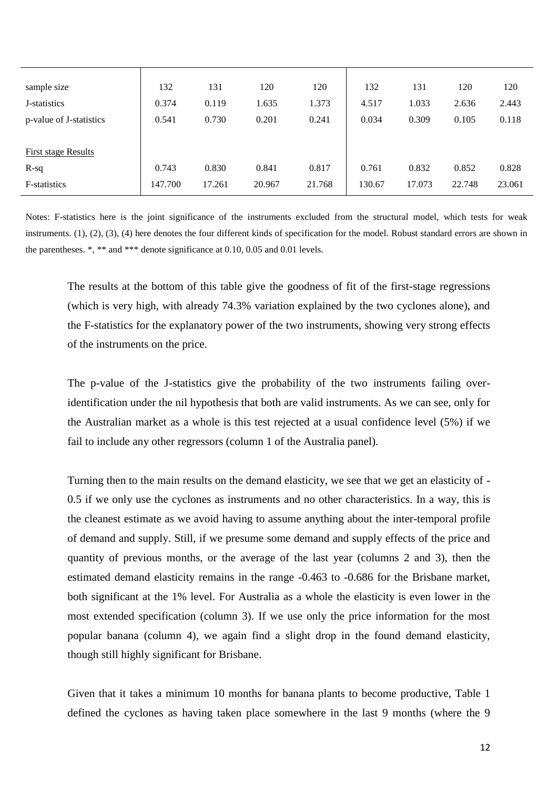| sample size                | 132     | 131    | 120    | 120    | 132    | 131    | 120    | 120    |
|----------------------------|---------|--------|--------|--------|--------|--------|--------|--------|
| J-statistics               | 0.374   | 0.119  | 1.635  | 1.373  | 4.517  | 1.033  | 2.636  | 2.443  |
| p-value of J-statistics    | 0.541   | 0.730  | 0.201  | 0.241  | 0.034  | 0.309  | 0.105  | 0.118  |
|                            |         |        |        |        |        |        |        |        |
| <b>First stage Results</b> |         |        |        |        |        |        |        |        |
| $R-sq$                     | 0.743   | 0.830  | 0.841  | 0.817  | 0.761  | 0.832  | 0.852  | 0.828  |
| F-statistics               | 147.700 | 17.261 | 20.967 | 21.768 | 130.67 | 17.073 | 22.748 | 23.061 |

Notes: F-statistics here is the joint significance of the instruments excluded from the structural model, which tests for weak instruments. (1), (2), (3), (4) here denotes the four different kinds of specification for the model. Robust standard errors are shown in the parentheses. \*, \*\* and \*\*\* denote significance at 0.10, 0.05 and 0.01 levels.

The results at the bottom of this table give the goodness of fit of the first-stage regressions (which is very high, with already 74.3% variation explained by the two cyclones alone), and the F-statistics for the explanatory power of the two instruments, showing very strong effects of the instruments on the price.

The p-value of the J-statistics give the probability of the two instruments failing overidentification under the nil hypothesis that both are valid instruments. As we can see, only for the Australian market as a whole is this test rejected at a usual confidence level (5%) if we fail to include any other regressors (column 1 of the Australia panel).

Turning then to the main results on the demand elasticity, we see that we get an elasticity of - 0.5 if we only use the cyclones as instruments and no other characteristics. In a way, this is the cleanest estimate as we avoid having to assume anything about the inter-temporal profile of demand and supply. Still, if we presume some demand and supply effects of the price and quantity of previous months, or the average of the last year (columns 2 and 3), then the estimated demand elasticity remains in the range -0.463 to -0.686 for the Brisbane market, both significant at the 1% level. For Australia as a whole the elasticity is even lower in the most extended specification (column 3). If we use only the price information for the most popular banana (column 4), we again find a slight drop in the found demand elasticity, though still highly significant for Brisbane.

Given that it takes a minimum 10 months for banana plants to become productive, Table 1 defined the cyclones as having taken place somewhere in the last 9 months (where the 9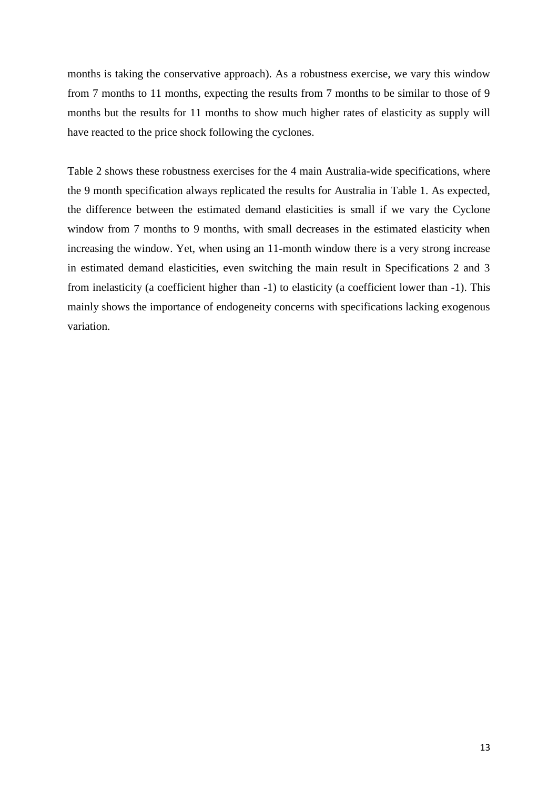months is taking the conservative approach). As a robustness exercise, we vary this window from 7 months to 11 months, expecting the results from 7 months to be similar to those of 9 months but the results for 11 months to show much higher rates of elasticity as supply will have reacted to the price shock following the cyclones.

Table 2 shows these robustness exercises for the 4 main Australia-wide specifications, where the 9 month specification always replicated the results for Australia in Table 1. As expected, the difference between the estimated demand elasticities is small if we vary the Cyclone window from 7 months to 9 months, with small decreases in the estimated elasticity when increasing the window. Yet, when using an 11-month window there is a very strong increase in estimated demand elasticities, even switching the main result in Specifications 2 and 3 from inelasticity (a coefficient higher than -1) to elasticity (a coefficient lower than -1). This mainly shows the importance of endogeneity concerns with specifications lacking exogenous variation.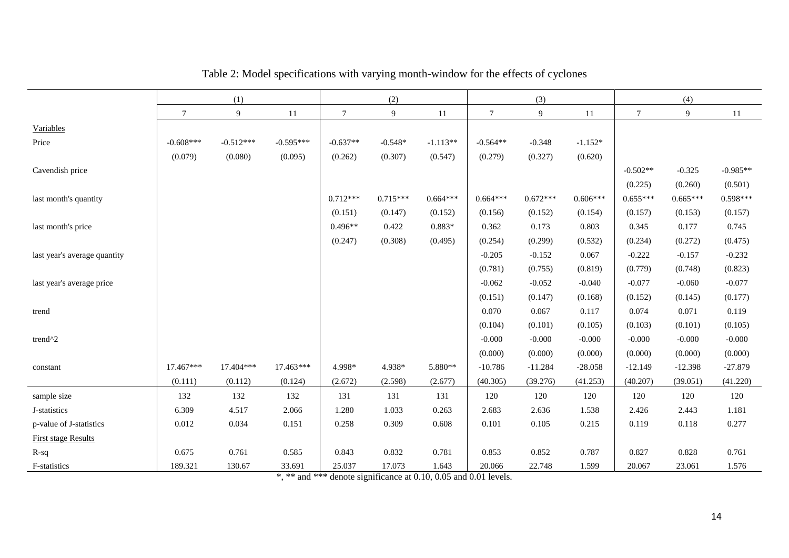|                              | (1)         |             |             | (2)        |            |            | (3)        |            | (4)        |            |            |            |
|------------------------------|-------------|-------------|-------------|------------|------------|------------|------------|------------|------------|------------|------------|------------|
|                              | $\tau$      | 9           | 11          | $\tau$     | 9          | $11\,$     | $\tau$     | 9          | $11\,$     | $\tau$     | 9          | 11         |
| Variables                    |             |             |             |            |            |            |            |            |            |            |            |            |
| Price                        | $-0.608***$ | $-0.512***$ | $-0.595***$ | $-0.637**$ | $-0.548*$  | $-1.113**$ | $-0.564**$ | $-0.348$   | $-1.152*$  |            |            |            |
|                              | (0.079)     | (0.080)     | (0.095)     | (0.262)    | (0.307)    | (0.547)    | (0.279)    | (0.327)    | (0.620)    |            |            |            |
| Cavendish price              |             |             |             |            |            |            |            |            |            | $-0.502**$ | $-0.325$   | $-0.985**$ |
|                              |             |             |             |            |            |            |            |            |            | (0.225)    | (0.260)    | (0.501)    |
| last month's quantity        |             |             |             | $0.712***$ | $0.715***$ | $0.664***$ | $0.664***$ | $0.672***$ | $0.606***$ | $0.655***$ | $0.665***$ | $0.598***$ |
|                              |             |             |             | (0.151)    | (0.147)    | (0.152)    | (0.156)    | (0.152)    | (0.154)    | (0.157)    | (0.153)    | (0.157)    |
| last month's price           |             |             |             | $0.496**$  | 0.422      | $0.883*$   | 0.362      | 0.173      | 0.803      | 0.345      | 0.177      | 0.745      |
|                              |             |             |             | (0.247)    | (0.308)    | (0.495)    | (0.254)    | (0.299)    | (0.532)    | (0.234)    | (0.272)    | (0.475)    |
| last year's average quantity |             |             |             |            |            |            | $-0.205$   | $-0.152$   | 0.067      | $-0.222$   | $-0.157$   | $-0.232$   |
|                              |             |             |             |            |            |            | (0.781)    | (0.755)    | (0.819)    | (0.779)    | (0.748)    | (0.823)    |
| last year's average price    |             |             |             |            |            |            | $-0.062$   | $-0.052$   | $-0.040$   | $-0.077$   | $-0.060$   | $-0.077$   |
|                              |             |             |             |            |            |            | (0.151)    | (0.147)    | (0.168)    | (0.152)    | (0.145)    | (0.177)    |
| trend                        |             |             |             |            |            |            | 0.070      | 0.067      | 0.117      | 0.074      | 0.071      | 0.119      |
|                              |             |             |             |            |            |            | (0.104)    | (0.101)    | (0.105)    | (0.103)    | (0.101)    | (0.105)    |
| trend $^{\wedge}2$           |             |             |             |            |            |            | $-0.000$   | $-0.000$   | $-0.000$   | $-0.000$   | $-0.000$   | $-0.000$   |
|                              |             |             |             |            |            |            | (0.000)    | (0.000)    | (0.000)    | (0.000)    | (0.000)    | (0.000)    |
| constant                     | 17.467***   | 17.404***   | 17.463***   | 4.998*     | 4.938*     | 5.880**    | $-10.786$  | $-11.284$  | $-28.058$  | $-12.149$  | $-12.398$  | $-27.879$  |
|                              | (0.111)     | (0.112)     | (0.124)     | (2.672)    | (2.598)    | (2.677)    | (40.305)   | (39.276)   | (41.253)   | (40.207)   | (39.051)   | (41.220)   |
| sample size                  | 132         | 132         | 132         | 131        | 131        | 131        | 120        | 120        | 120        | 120        | 120        | 120        |
| J-statistics                 | 6.309       | 4.517       | 2.066       | 1.280      | 1.033      | 0.263      | 2.683      | 2.636      | 1.538      | 2.426      | 2.443      | 1.181      |
| p-value of J-statistics      | 0.012       | 0.034       | 0.151       | 0.258      | 0.309      | 0.608      | 0.101      | 0.105      | 0.215      | 0.119      | 0.118      | 0.277      |
| <b>First stage Results</b>   |             |             |             |            |            |            |            |            |            |            |            |            |
| $R-sq$                       | 0.675       | 0.761       | 0.585       | 0.843      | 0.832      | 0.781      | 0.853      | 0.852      | 0.787      | 0.827      | 0.828      | 0.761      |
| F-statistics                 | 189.321     | 130.67      | 33.691      | 25.037     | 17.073     | 1.643      | 20.066     | 22.748     | 1.599      | 20.067     | 23.061     | 1.576      |

Table 2: Model specifications with varying month-window for the effects of cyclones

\*, \*\* and \*\*\* denote significance at 0.10, 0.05 and 0.01 levels.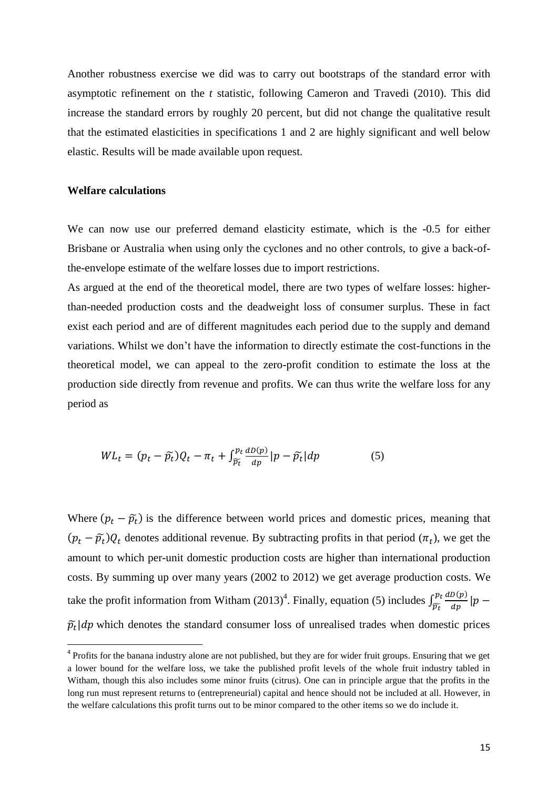Another robustness exercise we did was to carry out bootstraps of the standard error with asymptotic refinement on the *t* statistic, following Cameron and Travedi (2010). This did increase the standard errors by roughly 20 percent, but did not change the qualitative result that the estimated elasticities in specifications 1 and 2 are highly significant and well below elastic. Results will be made available upon request.

#### **Welfare calculations**

 $\overline{a}$ 

We can now use our preferred demand elasticity estimate, which is the -0.5 for either Brisbane or Australia when using only the cyclones and no other controls, to give a back-ofthe-envelope estimate of the welfare losses due to import restrictions.

As argued at the end of the theoretical model, there are two types of welfare losses: higherthan-needed production costs and the deadweight loss of consumer surplus. These in fact exist each period and are of different magnitudes each period due to the supply and demand variations. Whilst we don't have the information to directly estimate the cost-functions in the theoretical model, we can appeal to the zero-profit condition to estimate the loss at the production side directly from revenue and profits. We can thus write the welfare loss for any period as

$$
WL_t = (p_t - \widetilde{p_t})Q_t - \pi_t + \int_{\widetilde{p_t}}^{p_t} \frac{dD(p)}{dp} |p - \widetilde{p_t}| dp \tag{5}
$$

Where  $(p_t - \tilde{p}_t)$  is the difference between world prices and domestic prices, meaning that  $(p_t - \tilde{p}_t)Q_t$  denotes additional revenue. By subtracting profits in that period  $(\pi_t)$ , we get the amount to which per-unit domestic production costs are higher than international production costs. By summing up over many years (2002 to 2012) we get average production costs. We take the profit information from Witham  $(2013)^4$ . Finally, equation (5) includes  $\int_{\tilde{\mathfrak{m}}}^{pt} \frac{d}{dt}$  $\frac{p_t}{\widetilde{p}_t} \frac{d D(p)}{d p}$  $\widehat{p}$  $\tilde{p}_t | dp$  which denotes the standard consumer loss of unrealised trades when domestic prices

<sup>&</sup>lt;sup>4</sup> Profits for the banana industry alone are not published, but they are for wider fruit groups. Ensuring that we get a lower bound for the welfare loss, we take the published profit levels of the whole fruit industry tabled in Witham, though this also includes some minor fruits (citrus). One can in principle argue that the profits in the long run must represent returns to (entrepreneurial) capital and hence should not be included at all. However, in the welfare calculations this profit turns out to be minor compared to the other items so we do include it.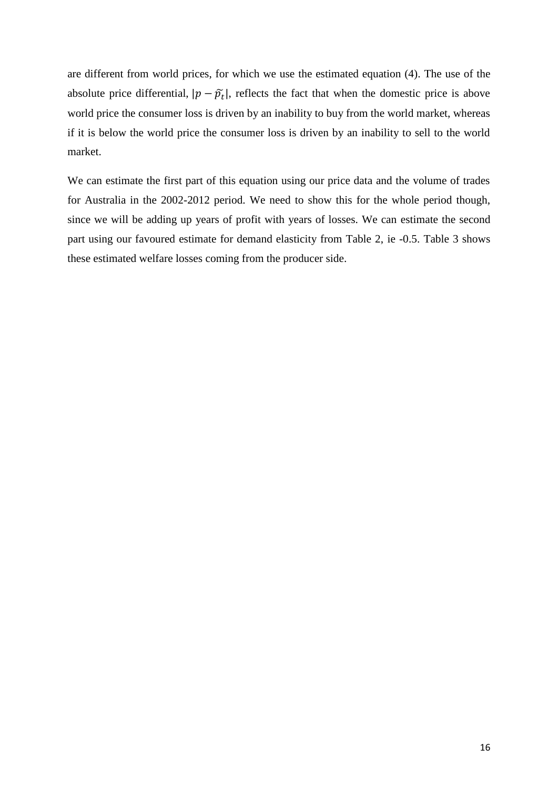are different from world prices, for which we use the estimated equation (4). The use of the absolute price differential,  $|p - \tilde{p}_t|$ , reflects the fact that when the domestic price is above world price the consumer loss is driven by an inability to buy from the world market, whereas if it is below the world price the consumer loss is driven by an inability to sell to the world market.

We can estimate the first part of this equation using our price data and the volume of trades for Australia in the 2002-2012 period. We need to show this for the whole period though, since we will be adding up years of profit with years of losses. We can estimate the second part using our favoured estimate for demand elasticity from Table 2, ie -0.5. Table 3 shows these estimated welfare losses coming from the producer side.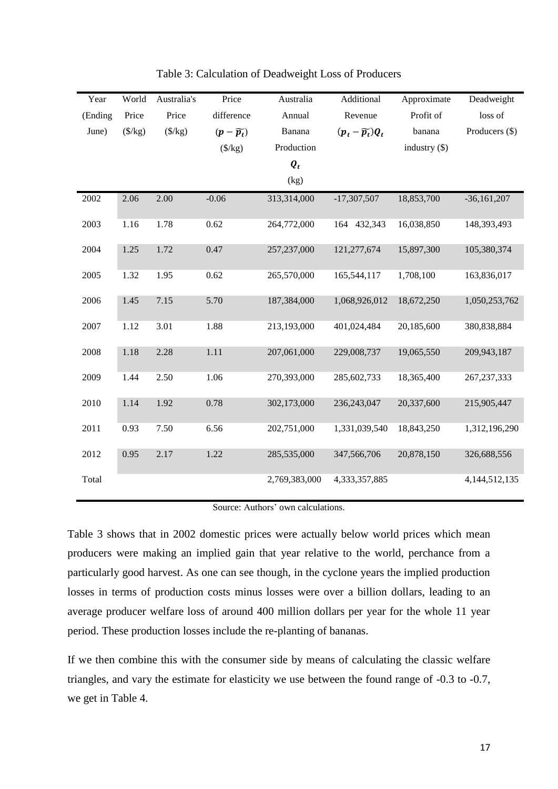| Year    | World           | Australia's      | Price                 | Australia          | Additional                   | Approximate     | Deadweight       |
|---------|-----------------|------------------|-----------------------|--------------------|------------------------------|-----------------|------------------|
| (Ending | Price           | Price            | difference            | Annual             | Revenue                      | Profit of       | loss of          |
| June)   | $(\frac{f}{g})$ | $(\frac{5}{kg})$ | $(p-\widetilde{p_t})$ | Banana             | $(p_t - \widetilde{p_t})Q_t$ | banana          | Producers (\$)   |
|         |                 |                  | $(\frac{$}{kg})$      | Production         |                              | industry $(\$)$ |                  |
|         |                 |                  |                       | $\boldsymbol{Q}_t$ |                              |                 |                  |
|         |                 |                  |                       | (kg)               |                              |                 |                  |
| 2002    | 2.06            | 2.00             | $-0.06$               | 313,314,000        | $-17,307,507$                | 18,853,700      | $-36,161,207$    |
| 2003    | 1.16            | 1.78             | 0.62                  | 264,772,000        | 164 432,343                  | 16,038,850      | 148,393,493      |
| 2004    | 1.25            | 1.72             | 0.47                  | 257,237,000        | 121,277,674                  | 15,897,300      | 105,380,374      |
| 2005    | 1.32            | 1.95             | 0.62                  | 265,570,000        | 165,544,117                  | 1,708,100       | 163,836,017      |
| 2006    | 1.45            | 7.15             | 5.70                  | 187,384,000        | 1,068,926,012                | 18,672,250      | 1,050,253,762    |
| 2007    | 1.12            | 3.01             | 1.88                  | 213,193,000        | 401,024,484                  | 20,185,600      | 380,838,884      |
| 2008    | 1.18            | 2.28             | $1.11$                | 207,061,000        | 229,008,737                  | 19,065,550      | 209,943,187      |
| 2009    | 1.44            | 2.50             | 1.06                  | 270,393,000        | 285,602,733                  | 18,365,400      | 267, 237, 333    |
| 2010    | 1.14            | 1.92             | 0.78                  | 302,173,000        | 236, 243, 047                | 20,337,600      | 215,905,447      |
| 2011    | 0.93            | 7.50             | 6.56                  | 202,751,000        | 1,331,039,540                | 18,843,250      | 1,312,196,290    |
| 2012    | 0.95            | 2.17             | 1.22                  | 285,535,000        | 347,566,706                  | 20,878,150      | 326,688,556      |
| Total   |                 |                  |                       | 2,769,383,000      | 4,333,357,885                |                 | 4, 144, 512, 135 |

Table 3: Calculation of Deadweight Loss of Producers

Source: Authors' own calculations.

Table 3 shows that in 2002 domestic prices were actually below world prices which mean producers were making an implied gain that year relative to the world, perchance from a particularly good harvest. As one can see though, in the cyclone years the implied production losses in terms of production costs minus losses were over a billion dollars, leading to an average producer welfare loss of around 400 million dollars per year for the whole 11 year period. These production losses include the re-planting of bananas.

If we then combine this with the consumer side by means of calculating the classic welfare triangles, and vary the estimate for elasticity we use between the found range of -0.3 to -0.7, we get in Table 4.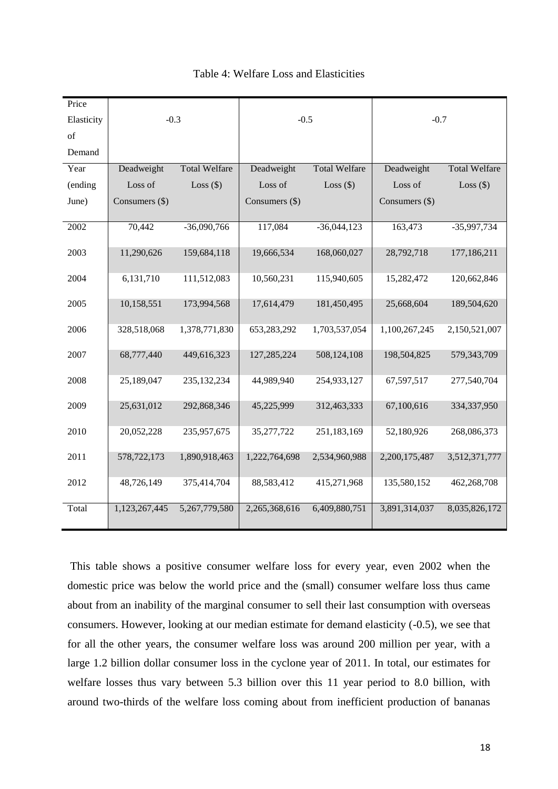| Price      |                |                      |                |                      |                |                      |  |
|------------|----------------|----------------------|----------------|----------------------|----------------|----------------------|--|
| Elasticity | $-0.3$         |                      | $-0.5$         |                      | $-0.7$         |                      |  |
| of         |                |                      |                |                      |                |                      |  |
| Demand     |                |                      |                |                      |                |                      |  |
| Year       | Deadweight     | <b>Total Welfare</b> | Deadweight     | <b>Total Welfare</b> | Deadweight     | <b>Total Welfare</b> |  |
| (ending    | Loss of        | Loss $(\$)$          | Loss of        | Loss $(\$)$          | Loss of        | Loss $(\$)$          |  |
| June)      | Consumers (\$) |                      | Consumers (\$) |                      | Consumers (\$) |                      |  |
| 2002       | 70,442         | $-36,090,766$        | 117,084        | $-36,044,123$        | 163,473        | $-35,997,734$        |  |
| 2003       | 11,290,626     | 159,684,118          | 19,666,534     | 168,060,027          | 28,792,718     | 177,186,211          |  |
| 2004       | 6,131,710      | 111,512,083          | 10,560,231     | 115,940,605          | 15,282,472     | 120,662,846          |  |
| 2005       | 10,158,551     | 173,994,568          | 17,614,479     | 181,450,495          | 25,668,604     | 189,504,620          |  |
| 2006       | 328,518,068    | 1,378,771,830        | 653,283,292    | 1,703,537,054        | 1,100,267,245  | 2,150,521,007        |  |
| 2007       | 68,777,440     | 449,616,323          | 127,285,224    | 508,124,108          | 198,504,825    | 579,343,709          |  |
| 2008       | 25,189,047     | 235, 132, 234        | 44,989,940     | 254,933,127          | 67,597,517     | 277,540,704          |  |
| 2009       | 25,631,012     | 292,868,346          | 45,225,999     | 312,463,333          | 67,100,616     | 334,337,950          |  |
| 2010       | 20,052,228     | 235,957,675          | 35,277,722     | 251,183,169          | 52,180,926     | 268,086,373          |  |
| 2011       | 578,722,173    | 1,890,918,463        | 1,222,764,698  | 2,534,960,988        | 2,200,175,487  | 3,512,371,777        |  |
| 2012       | 48,726,149     | 375,414,704          | 88,583,412     | 415,271,968          | 135,580,152    | 462,268,708          |  |
| Total      | 1,123,267,445  | 5,267,779,580        | 2,265,368,616  | 6,409,880,751        | 3,891,314,037  | 8,035,826,172        |  |

Table 4: Welfare Loss and Elasticities

This table shows a positive consumer welfare loss for every year, even 2002 when the domestic price was below the world price and the (small) consumer welfare loss thus came about from an inability of the marginal consumer to sell their last consumption with overseas consumers. However, looking at our median estimate for demand elasticity (-0.5), we see that for all the other years, the consumer welfare loss was around 200 million per year, with a large 1.2 billion dollar consumer loss in the cyclone year of 2011. In total, our estimates for welfare losses thus vary between 5.3 billion over this 11 year period to 8.0 billion, with around two-thirds of the welfare loss coming about from inefficient production of bananas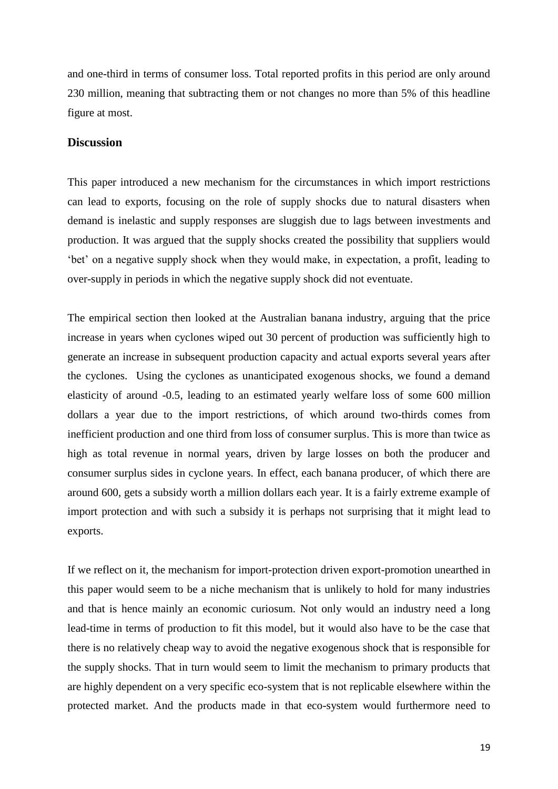and one-third in terms of consumer loss. Total reported profits in this period are only around 230 million, meaning that subtracting them or not changes no more than 5% of this headline figure at most.

#### **Discussion**

This paper introduced a new mechanism for the circumstances in which import restrictions can lead to exports, focusing on the role of supply shocks due to natural disasters when demand is inelastic and supply responses are sluggish due to lags between investments and production. It was argued that the supply shocks created the possibility that suppliers would 'bet' on a negative supply shock when they would make, in expectation, a profit, leading to over-supply in periods in which the negative supply shock did not eventuate.

The empirical section then looked at the Australian banana industry, arguing that the price increase in years when cyclones wiped out 30 percent of production was sufficiently high to generate an increase in subsequent production capacity and actual exports several years after the cyclones. Using the cyclones as unanticipated exogenous shocks, we found a demand elasticity of around -0.5, leading to an estimated yearly welfare loss of some 600 million dollars a year due to the import restrictions, of which around two-thirds comes from inefficient production and one third from loss of consumer surplus. This is more than twice as high as total revenue in normal years, driven by large losses on both the producer and consumer surplus sides in cyclone years. In effect, each banana producer, of which there are around 600, gets a subsidy worth a million dollars each year. It is a fairly extreme example of import protection and with such a subsidy it is perhaps not surprising that it might lead to exports.

If we reflect on it, the mechanism for import-protection driven export-promotion unearthed in this paper would seem to be a niche mechanism that is unlikely to hold for many industries and that is hence mainly an economic curiosum. Not only would an industry need a long lead-time in terms of production to fit this model, but it would also have to be the case that there is no relatively cheap way to avoid the negative exogenous shock that is responsible for the supply shocks. That in turn would seem to limit the mechanism to primary products that are highly dependent on a very specific eco-system that is not replicable elsewhere within the protected market. And the products made in that eco-system would furthermore need to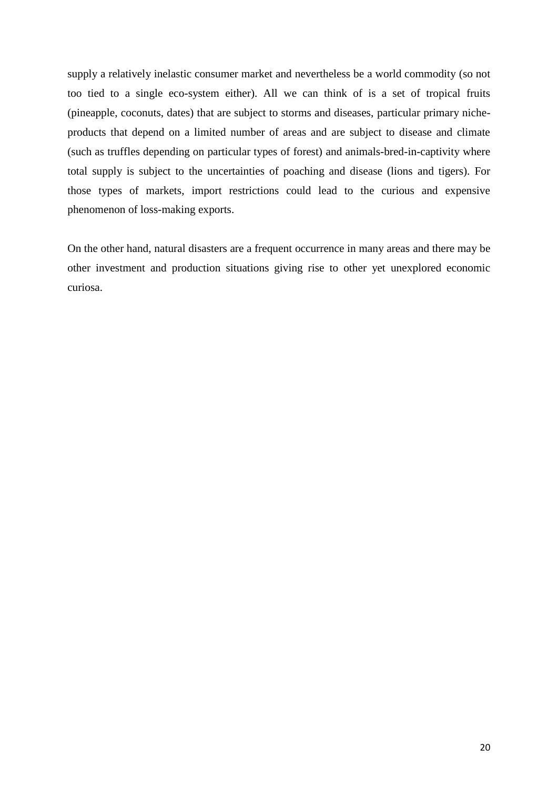supply a relatively inelastic consumer market and nevertheless be a world commodity (so not too tied to a single eco-system either). All we can think of is a set of tropical fruits (pineapple, coconuts, dates) that are subject to storms and diseases, particular primary nicheproducts that depend on a limited number of areas and are subject to disease and climate (such as truffles depending on particular types of forest) and animals-bred-in-captivity where total supply is subject to the uncertainties of poaching and disease (lions and tigers). For those types of markets, import restrictions could lead to the curious and expensive phenomenon of loss-making exports.

On the other hand, natural disasters are a frequent occurrence in many areas and there may be other investment and production situations giving rise to other yet unexplored economic curiosa.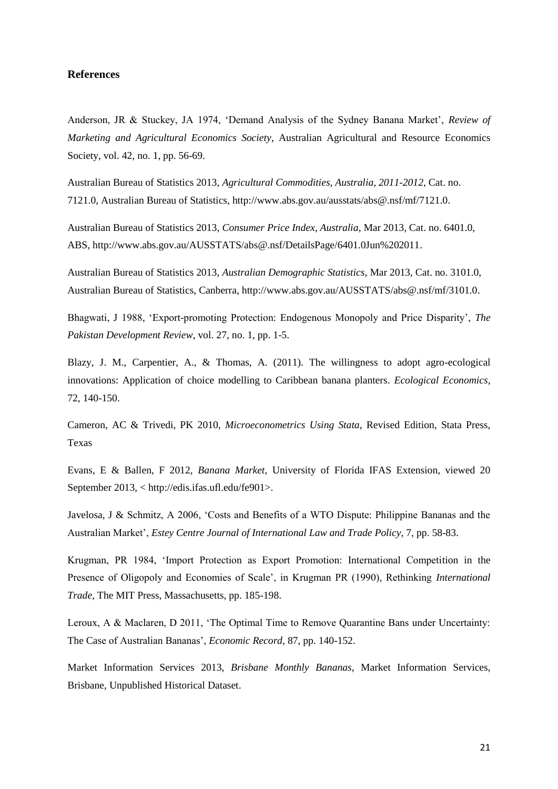#### **References**

Anderson, JR & Stuckey, JA 1974, 'Demand Analysis of the Sydney Banana Market', *Review of Marketing and Agricultural Economics Society*, Australian Agricultural and Resource Economics Society, vol. 42, no. 1, pp. 56-69.

Australian Bureau of Statistics 2013, *Agricultural Commodities, Australia, 2011-2012*, Cat. no. 7121.0, Australian Bureau of Statistics, http://www.abs.gov.au/ausstats/abs@.nsf/mf/7121.0.

Australian Bureau of Statistics 2013, *Consumer Price Index, Australia*, Mar 2013, Cat. no. 6401.0, ABS, http://www.abs.gov.au/AUSSTATS/abs@.nsf/DetailsPage/6401.0Jun%202011.

Australian Bureau of Statistics 2013, *Australian Demographic Statistics*, Mar 2013, Cat. no. 3101.0, Australian Bureau of Statistics, Canberra, [http://www.abs.gov.au/AUSSTATS/abs@.nsf/mf/3101.0.](http://www.abs.gov.au/AUSSTATS/abs@.nsf/mf/3101.0)

Bhagwati, J 1988, 'Export-promoting Protection: Endogenous Monopoly and Price Disparity', *The Pakistan Development Review*, vol. 27, no. 1, pp. 1-5.

Blazy, J. M., Carpentier, A., & Thomas, A. (2011). The willingness to adopt agro-ecological innovations: Application of choice modelling to Caribbean banana planters. *Ecological Economics*, 72, 140-150.

Cameron, AC & Trivedi, PK 2010, *Microeconometrics Using Stata*, Revised Edition, Stata Press, Texas

Evans, E & Ballen, F 2012, *Banana Market*, University of Florida IFAS Extension, viewed 20 September 2013, < http://edis.ifas.ufl.edu/fe901>.

Javelosa, J & Schmitz, A 2006, 'Costs and Benefits of a WTO Dispute: Philippine Bananas and the Australian Market', *Estey Centre Journal of International Law and Trade Policy*, 7, pp. 58-83.

Krugman, PR 1984, 'Import Protection as Export Promotion: International Competition in the Presence of Oligopoly and Economies of Scale', in Krugman PR (1990), Rethinking *International Trade*, The MIT Press, Massachusetts, pp. 185-198.

Leroux, A & Maclaren, D 2011, 'The Optimal Time to Remove Quarantine Bans under Uncertainty: The Case of Australian Bananas', *Economic Record*, 87, pp. 140-152.

Market Information Services 2013, *Brisbane Monthly Bananas*, Market Information Services, Brisbane, Unpublished Historical Dataset.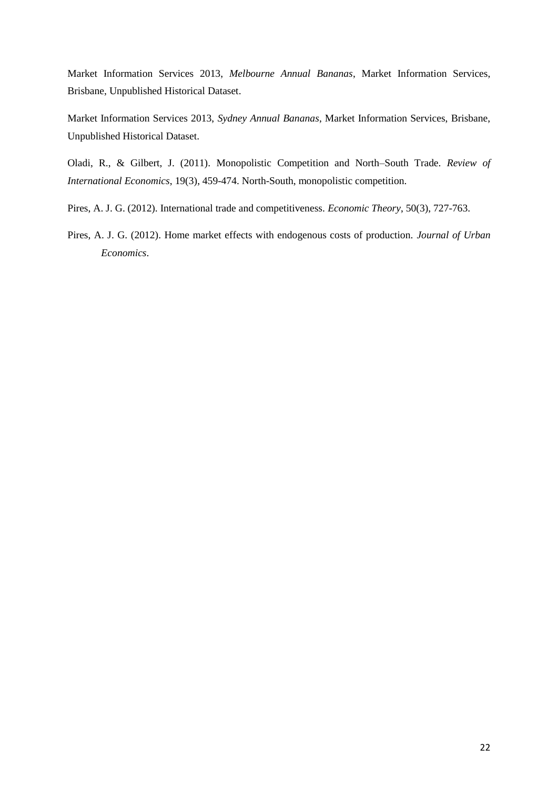Market Information Services 2013, *Melbourne Annual Bananas*, Market Information Services, Brisbane, Unpublished Historical Dataset.

Market Information Services 2013, *Sydney Annual Bananas*, Market Information Services, Brisbane, Unpublished Historical Dataset.

Oladi, R., & Gilbert, J. (2011). Monopolistic Competition and North–South Trade. *Review of International Economics*, 19(3), 459-474. North-South, monopolistic competition.

- Pires, A. J. G. (2012). International trade and competitiveness. *Economic Theory*, 50(3), 727-763.
- Pires, A. J. G. (2012). Home market effects with endogenous costs of production. *Journal of Urban Economics*.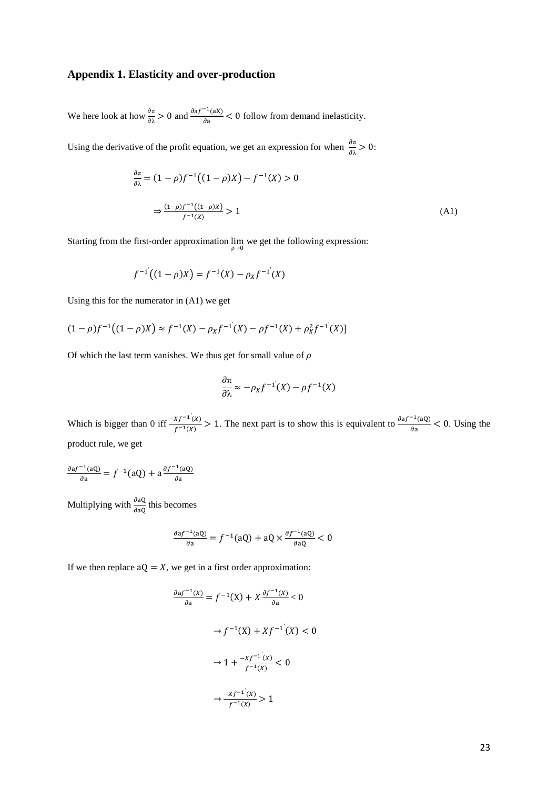#### **Appendix 1. Elasticity and over-production**

We here look at how  $\frac{\partial \pi}{\partial \lambda} > 0$  and  $\frac{\partial \alpha f}{\partial \lambda}$  $\frac{f_{\text{max}}}{\partial a}$  < 0 follow from demand inelasticity.

Using the derivative of the profit equation, we get an expression for when  $\frac{\partial \pi}{\partial \lambda} > 0$ :

$$
\frac{\partial \pi}{\partial \lambda} = (1 - \rho)f^{-1}((1 - \rho)X) - f^{-1}(X) > 0
$$
  

$$
\Rightarrow \frac{(1 - \rho)f^{-1}((1 - \rho)X)}{f^{-1}(X)} > 1
$$
 (A1)

Starting from the first-order approximation  $\lim_{\rho \to 0}$  we get the following expression:

$$
f^{-1}((1 - \rho)X) = f^{-1}(X) - \rho_X f^{-1}(X)
$$

Using this for the numerator in (A1) we get

$$
(1 - \rho)f^{-1}((1 - \rho)X) \approx f^{-1}(X) - \rho_X f^{-1}(X) - \rho f^{-1}(X) + \rho_X^2 f^{-1}(X)
$$

Of which the last term vanishes. We thus get for small value of  $\rho$ 

$$
\frac{\partial \pi}{\partial \lambda} \approx -\rho_X f^{-1}(X) - \rho f^{-1}(X)
$$

Which is bigger than 0 iff  $\frac{-Xf^{-1}(x)}{f^{-1}(x)}$  $\frac{xf^{-1}(x)}{f^{-1}(x)} > 1$ . The next part is to show this is equivalent to  $\frac{\partial af^{-1}(x)}{\partial x}$  $\frac{dQ}{da}$  < 0. Using the product rule, we get

$$
\frac{\partial \mathrm{a} f^{-1}(\mathrm{a} \mathrm{Q})}{\partial \mathrm{a}} = f^{-1}(\mathrm{a} \mathrm{Q}) + \mathrm{a} \frac{\partial f^{-1}(\mathrm{a} \mathrm{Q})}{\partial \mathrm{a}}
$$

Multiplying with  $\frac{\partial aQ}{\partial aQ}$  this becomes

$$
\frac{\partial \boldsymbol{a} f^{-1}(\boldsymbol{a} \boldsymbol{Q})}{\partial \boldsymbol{a}} = f^{-1}(\boldsymbol{a} \boldsymbol{Q}) + \boldsymbol{a} \boldsymbol{Q} \times \frac{\partial f^{-1}(\boldsymbol{a} \boldsymbol{Q})}{\partial \boldsymbol{a} \boldsymbol{Q}} < 0
$$

If we then replace  $aQ = X$ , we get in a first order approximation:

$$
\frac{\partial af^{-1}(X)}{\partial a} = f^{-1}(X) + X \frac{\partial f^{-1}(X)}{\partial a} < 0
$$
\n
$$
\to f^{-1}(X) + Xf^{-1}(X) < 0
$$
\n
$$
\to 1 + \frac{-Xf^{-1}(X)}{f^{-1}(X)} < 0
$$
\n
$$
\to \frac{-Xf^{-1}(X)}{f^{-1}(X)} > 1
$$